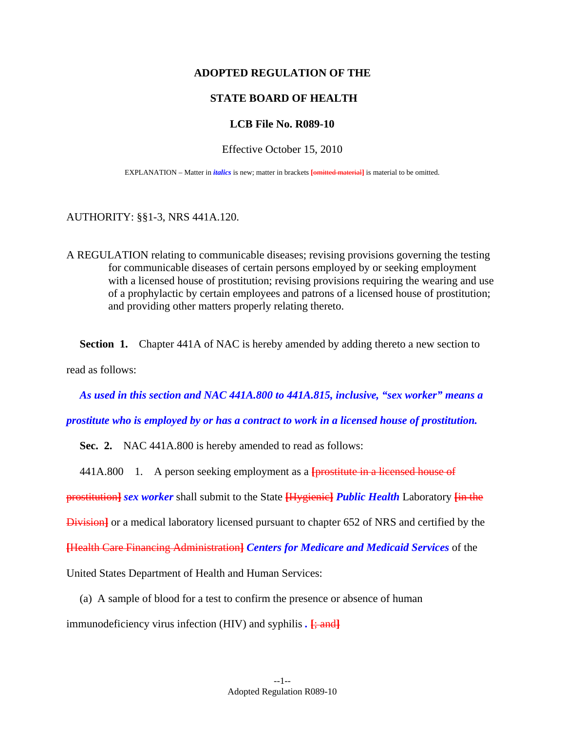### **ADOPTED REGULATION OF THE**

### **STATE BOARD OF HEALTH**

### **LCB File No. R089-10**

#### Effective October 15, 2010

EXPLANATION – Matter in *italics* is new; matter in brackets **[**omitted material**]** is material to be omitted.

#### AUTHORITY: §§1-3, NRS 441A.120.

A REGULATION relating to communicable diseases; revising provisions governing the testing for communicable diseases of certain persons employed by or seeking employment with a licensed house of prostitution; revising provisions requiring the wearing and use of a prophylactic by certain employees and patrons of a licensed house of prostitution; and providing other matters properly relating thereto.

**Section 1.** Chapter 441A of NAC is hereby amended by adding thereto a new section to read as follows:

*As used in this section and NAC 441A.800 to 441A.815, inclusive, "sex worker" means a* 

*prostitute who is employed by or has a contract to work in a licensed house of prostitution.* 

**Sec. 2.** NAC 441A.800 is hereby amended to read as follows:

441A.800 1. A person seeking employment as a **[**prostitute in a licensed house of

prostitution**]** *sex worker* shall submit to the State **[**Hygienic**]** *Public Health* Laboratory **[**in the

Division**]** or a medical laboratory licensed pursuant to chapter 652 of NRS and certified by the

**[**Health Care Financing Administration**]** *Centers for Medicare and Medicaid Services* of the

United States Department of Health and Human Services:

(a) A sample of blood for a test to confirm the presence or absence of human

immunodeficiency virus infection (HIV) and syphilis .  $\frac{1}{2}$  and  $\frac{1}{2}$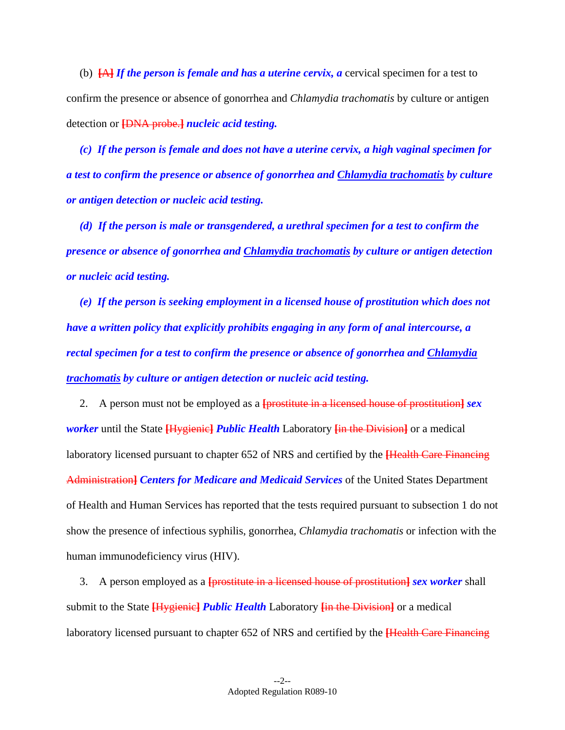(b) **[**A**]** *If the person is female and has a uterine cervix, a* cervical specimen for a test to confirm the presence or absence of gonorrhea and *Chlamydia trachomatis* by culture or antigen detection or **[**DNA probe.**]** *nucleic acid testing.* 

 *(c) If the person is female and does not have a uterine cervix, a high vaginal specimen for a test to confirm the presence or absence of gonorrhea and Chlamydia trachomatis by culture or antigen detection or nucleic acid testing.* 

 *(d) If the person is male or transgendered, a urethral specimen for a test to confirm the presence or absence of gonorrhea and Chlamydia trachomatis by culture or antigen detection or nucleic acid testing.* 

 *(e) If the person is seeking employment in a licensed house of prostitution which does not have a written policy that explicitly prohibits engaging in any form of anal intercourse, a rectal specimen for a test to confirm the presence or absence of gonorrhea and Chlamydia trachomatis by culture or antigen detection or nucleic acid testing.* 

 2. A person must not be employed as a **[**prostitute in a licensed house of prostitution**]** *sex worker* until the State **[**Hygienic**]** *Public Health* Laboratory **[**in the Division**]** or a medical laboratory licensed pursuant to chapter 652 of NRS and certified by the **[**Health Care Financing Administration**]** *Centers for Medicare and Medicaid Services* of the United States Department of Health and Human Services has reported that the tests required pursuant to subsection 1 do not show the presence of infectious syphilis, gonorrhea, *Chlamydia trachomatis* or infection with the human immunodeficiency virus (HIV).

 3. A person employed as a **[**prostitute in a licensed house of prostitution**]** *sex worker* shall submit to the State **[**Hygienic**]** *Public Health* Laboratory **[**in the Division**]** or a medical laboratory licensed pursuant to chapter 652 of NRS and certified by the **[**Health Care Financing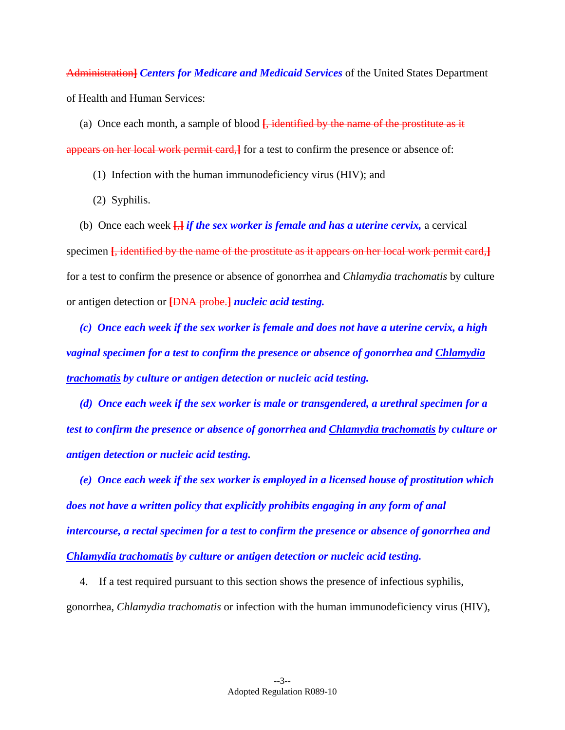Administration**]** *Centers for Medicare and Medicaid Services* of the United States Department of Health and Human Services:

 (a) Once each month, a sample of blood **[**, identified by the name of the prostitute as it appears on her local work permit card,**]** for a test to confirm the presence or absence of:

(1) Infection with the human immunodeficiency virus (HIV); and

(2) Syphilis.

 (b) Once each week **[**,**]** *if the sex worker is female and has a uterine cervix,* a cervical specimen **[**, identified by the name of the prostitute as it appears on her local work permit card,**]** for a test to confirm the presence or absence of gonorrhea and *Chlamydia trachomatis* by culture or antigen detection or **[**DNA probe.**]** *nucleic acid testing.* 

 *(c) Once each week if the sex worker is female and does not have a uterine cervix, a high vaginal specimen for a test to confirm the presence or absence of gonorrhea and Chlamydia trachomatis by culture or antigen detection or nucleic acid testing.* 

 *(d) Once each week if the sex worker is male or transgendered, a urethral specimen for a test to confirm the presence or absence of gonorrhea and Chlamydia trachomatis by culture or antigen detection or nucleic acid testing.* 

 *(e) Once each week if the sex worker is employed in a licensed house of prostitution which does not have a written policy that explicitly prohibits engaging in any form of anal intercourse, a rectal specimen for a test to confirm the presence or absence of gonorrhea and Chlamydia trachomatis by culture or antigen detection or nucleic acid testing.* 

 4. If a test required pursuant to this section shows the presence of infectious syphilis, gonorrhea, *Chlamydia trachomatis* or infection with the human immunodeficiency virus (HIV),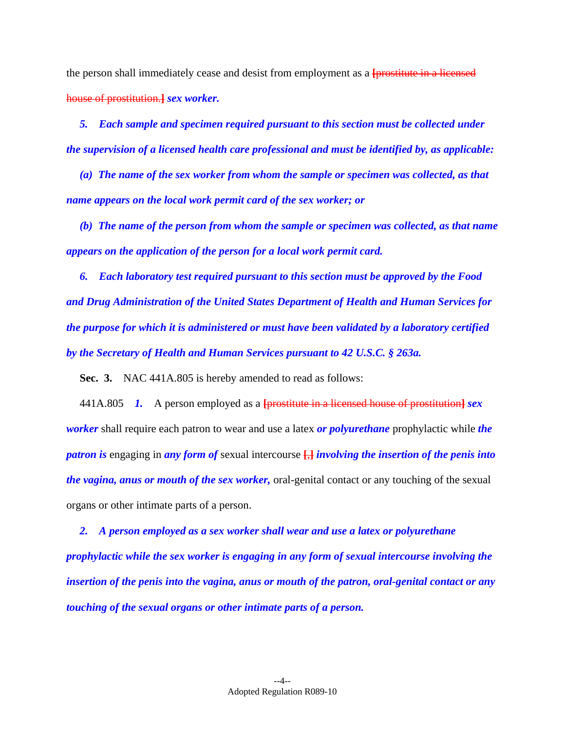the person shall immediately cease and desist from employment as a **[**prostitute in a licensed house of prostitution.**]** *sex worker.* 

 *5. Each sample and specimen required pursuant to this section must be collected under the supervision of a licensed health care professional and must be identified by, as applicable:* 

 *(a) The name of the sex worker from whom the sample or specimen was collected, as that name appears on the local work permit card of the sex worker; or* 

 *(b) The name of the person from whom the sample or specimen was collected, as that name appears on the application of the person for a local work permit card.* 

 *6. Each laboratory test required pursuant to this section must be approved by the Food and Drug Administration of the United States Department of Health and Human Services for the purpose for which it is administered or must have been validated by a laboratory certified by the Secretary of Health and Human Services pursuant to 42 U.S.C. § 263a.* 

 **Sec. 3.** NAC 441A.805 is hereby amended to read as follows:

 441A.805 *1.* A person employed as a **[**prostitute in a licensed house of prostitution**]** *sex worker* shall require each patron to wear and use a latex *or polyurethane* prophylactic while *the patron is* engaging in *any form of* sexual intercourse **[**,**]** *involving the insertion of the penis into the vagina, anus or mouth of the sex worker,* oral-genital contact or any touching of the sexual organs or other intimate parts of a person.

 *2. A person employed as a sex worker shall wear and use a latex or polyurethane prophylactic while the sex worker is engaging in any form of sexual intercourse involving the insertion of the penis into the vagina, anus or mouth of the patron, oral-genital contact or any touching of the sexual organs or other intimate parts of a person.*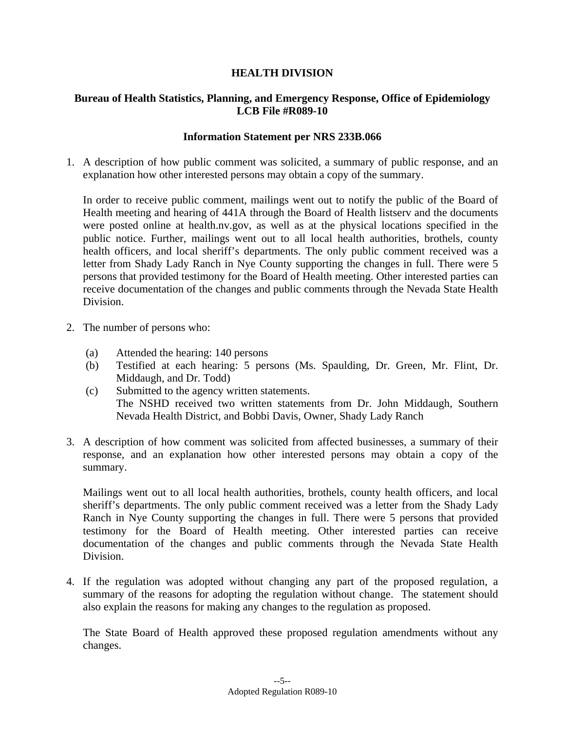## **HEALTH DIVISION**

### **Bureau of Health Statistics, Planning, and Emergency Response, Office of Epidemiology LCB File #R089-10**

#### **Information Statement per NRS 233B.066**

1. A description of how public comment was solicited, a summary of public response, and an explanation how other interested persons may obtain a copy of the summary.

In order to receive public comment, mailings went out to notify the public of the Board of Health meeting and hearing of 441A through the Board of Health listserv and the documents were posted online at health.nv.gov, as well as at the physical locations specified in the public notice. Further, mailings went out to all local health authorities, brothels, county health officers, and local sheriff's departments. The only public comment received was a letter from Shady Lady Ranch in Nye County supporting the changes in full. There were 5 persons that provided testimony for the Board of Health meeting. Other interested parties can receive documentation of the changes and public comments through the Nevada State Health Division.

- 2. The number of persons who:
	- (a) Attended the hearing: 140 persons
	- (b) Testified at each hearing: 5 persons (Ms. Spaulding, Dr. Green, Mr. Flint, Dr. Middaugh, and Dr. Todd)
	- (c) Submitted to the agency written statements. The NSHD received two written statements from Dr. John Middaugh, Southern Nevada Health District, and Bobbi Davis, Owner, Shady Lady Ranch
- 3. A description of how comment was solicited from affected businesses, a summary of their response, and an explanation how other interested persons may obtain a copy of the summary.

Mailings went out to all local health authorities, brothels, county health officers, and local sheriff's departments. The only public comment received was a letter from the Shady Lady Ranch in Nye County supporting the changes in full. There were 5 persons that provided testimony for the Board of Health meeting. Other interested parties can receive documentation of the changes and public comments through the Nevada State Health Division.

4. If the regulation was adopted without changing any part of the proposed regulation, a summary of the reasons for adopting the regulation without change. The statement should also explain the reasons for making any changes to the regulation as proposed.

The State Board of Health approved these proposed regulation amendments without any changes.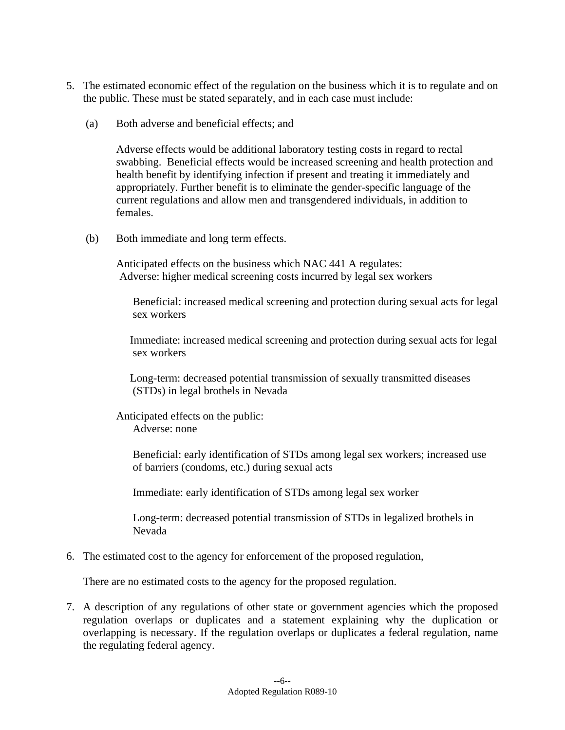- 5. The estimated economic effect of the regulation on the business which it is to regulate and on the public. These must be stated separately, and in each case must include:
	- (a) Both adverse and beneficial effects; and

Adverse effects would be additional laboratory testing costs in regard to rectal swabbing. Beneficial effects would be increased screening and health protection and health benefit by identifying infection if present and treating it immediately and appropriately. Further benefit is to eliminate the gender-specific language of the current regulations and allow men and transgendered individuals, in addition to females.

(b) Both immediate and long term effects.

Anticipated effects on the business which NAC 441 A regulates: Adverse: higher medical screening costs incurred by legal sex workers

 Beneficial: increased medical screening and protection during sexual acts for legal sex workers

 Immediate: increased medical screening and protection during sexual acts for legal sex workers

 Long-term: decreased potential transmission of sexually transmitted diseases (STDs) in legal brothels in Nevada

Anticipated effects on the public: Adverse: none

> Beneficial: early identification of STDs among legal sex workers; increased use of barriers (condoms, etc.) during sexual acts

Immediate: early identification of STDs among legal sex worker

 Long-term: decreased potential transmission of STDs in legalized brothels in Nevada

6. The estimated cost to the agency for enforcement of the proposed regulation,

There are no estimated costs to the agency for the proposed regulation.

7. A description of any regulations of other state or government agencies which the proposed regulation overlaps or duplicates and a statement explaining why the duplication or overlapping is necessary. If the regulation overlaps or duplicates a federal regulation, name the regulating federal agency.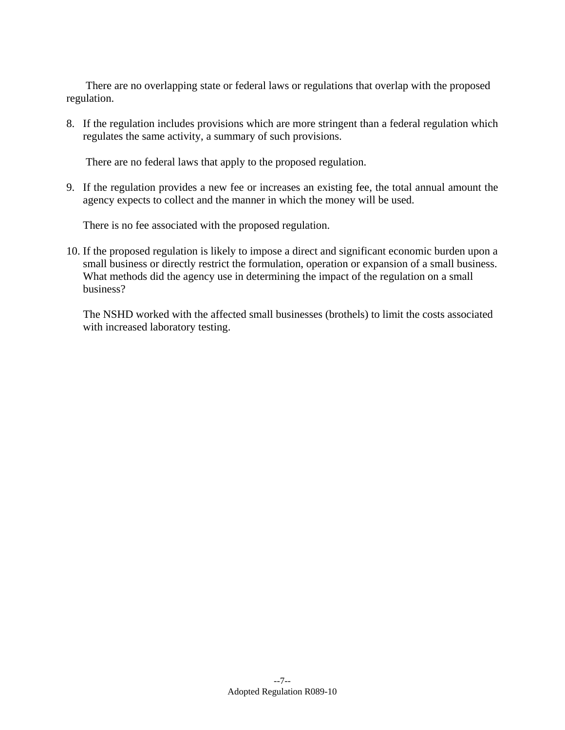There are no overlapping state or federal laws or regulations that overlap with the proposed regulation.

8. If the regulation includes provisions which are more stringent than a federal regulation which regulates the same activity, a summary of such provisions.

There are no federal laws that apply to the proposed regulation.

9. If the regulation provides a new fee or increases an existing fee, the total annual amount the agency expects to collect and the manner in which the money will be used.

There is no fee associated with the proposed regulation.

10. If the proposed regulation is likely to impose a direct and significant economic burden upon a small business or directly restrict the formulation, operation or expansion of a small business. What methods did the agency use in determining the impact of the regulation on a small business?

 The NSHD worked with the affected small businesses (brothels) to limit the costs associated with increased laboratory testing.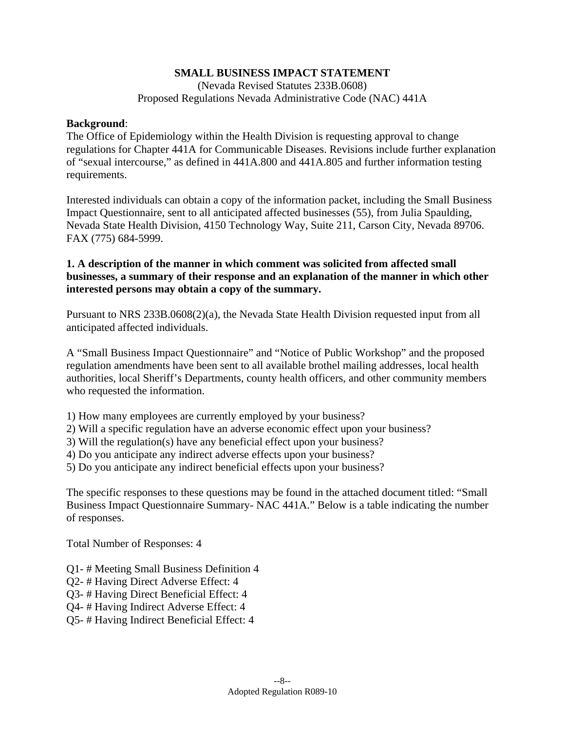### **SMALL BUSINESS IMPACT STATEMENT**

(Nevada Revised Statutes 233B.0608) Proposed Regulations Nevada Administrative Code (NAC) 441A

#### **Background**:

The Office of Epidemiology within the Health Division is requesting approval to change regulations for Chapter 441A for Communicable Diseases. Revisions include further explanation of "sexual intercourse," as defined in 441A.800 and 441A.805 and further information testing requirements.

Interested individuals can obtain a copy of the information packet, including the Small Business Impact Questionnaire, sent to all anticipated affected businesses (55), from Julia Spaulding, Nevada State Health Division, 4150 Technology Way, Suite 211, Carson City, Nevada 89706. FAX (775) 684-5999.

### **1. A description of the manner in which comment was solicited from affected small businesses, a summary of their response and an explanation of the manner in which other interested persons may obtain a copy of the summary.**

Pursuant to NRS 233B.0608(2)(a), the Nevada State Health Division requested input from all anticipated affected individuals.

A "Small Business Impact Questionnaire" and "Notice of Public Workshop" and the proposed regulation amendments have been sent to all available brothel mailing addresses, local health authorities, local Sheriff's Departments, county health officers, and other community members who requested the information.

- 1) How many employees are currently employed by your business?
- 2) Will a specific regulation have an adverse economic effect upon your business?
- 3) Will the regulation(s) have any beneficial effect upon your business?
- 4) Do you anticipate any indirect adverse effects upon your business?
- 5) Do you anticipate any indirect beneficial effects upon your business?

The specific responses to these questions may be found in the attached document titled: "Small Business Impact Questionnaire Summary- NAC 441A." Below is a table indicating the number of responses.

Total Number of Responses: 4

- Q1- # Meeting Small Business Definition 4
- Q2- # Having Direct Adverse Effect: 4
- Q3- # Having Direct Beneficial Effect: 4
- Q4- # Having Indirect Adverse Effect: 4
- Q5- # Having Indirect Beneficial Effect: 4